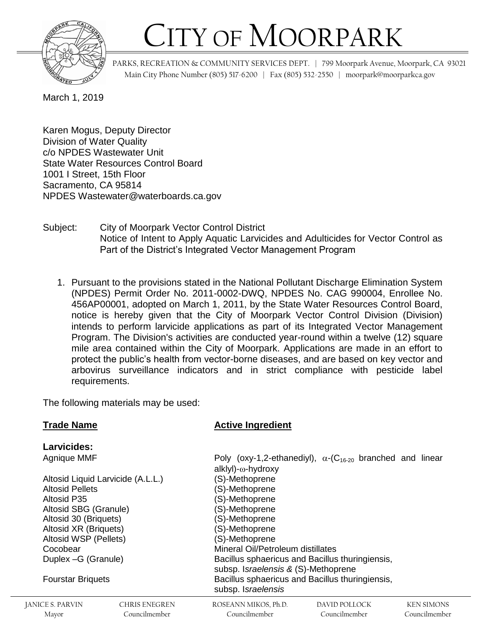

## CITY OF MOORPARK

 PARKS, RECREATION & COMMUNITY SERVICES DEPT. | 799 Moorpark Avenue, Moorpark, CA 93021 Main City Phone Number (805) 517-6200 | Fax (805) 532-2550 | moorpark@moorparkca.gov

March 1, 2019

Karen Mogus, Deputy Director Division of Water Quality c/o NPDES Wastewater Unit State Water Resources Control Board 1001 I Street, 15th Floor Sacramento, CA 95814 NPDES Wastewater@waterboards.ca.gov

Subject: City of Moorpark Vector Control District Notice of Intent to Apply Aquatic Larvicides and Adulticides for Vector Control as Part of the District's Integrated Vector Management Program

1. Pursuant to the provisions stated in the National Pollutant Discharge Elimination System (NPDES) Permit Order No. 2011-0002-DWQ, NPDES No. CAG 990004, Enrollee No. 456AP00001, adopted on March 1, 2011, by the State Water Resources Control Board, notice is hereby given that the City of Moorpark Vector Control Division (Division) intends to perform larvicide applications as part of its Integrated Vector Management Program. The Division's activities are conducted year-round within a twelve (12) square mile area contained within the City of Moorpark. Applications are made in an effort to protect the public's health from vector-borne diseases, and are based on key vector and arbovirus surveillance indicators and in strict compliance with pesticide label requirements.

The following materials may be used:

## **Trade Name Active Ingredient**

| Larvicides:                       |               |                                                                                        |                                                                              |            |
|-----------------------------------|---------------|----------------------------------------------------------------------------------------|------------------------------------------------------------------------------|------------|
| Agnique MMF                       |               | alklyl)-ω-hydroxy                                                                      | Poly (oxy-1,2-ethanediyl), $\alpha$ -(C <sub>16-20</sub> branched and linear |            |
| Altosid Liquid Larvicide (A.L.L.) |               | (S)-Methoprene                                                                         |                                                                              |            |
| <b>Altosid Pellets</b>            |               | (S)-Methoprene                                                                         |                                                                              |            |
| <b>Altosid P35</b>                |               | (S)-Methoprene                                                                         |                                                                              |            |
| Altosid SBG (Granule)             |               | (S)-Methoprene                                                                         |                                                                              |            |
| Altosid 30 (Briquets)             |               | (S)-Methoprene                                                                         |                                                                              |            |
| Altosid XR (Briquets)             |               | (S)-Methoprene                                                                         |                                                                              |            |
| Altosid WSP (Pellets)             |               | (S)-Methoprene                                                                         |                                                                              |            |
| Cocobear                          |               | Mineral Oil/Petroleum distillates                                                      |                                                                              |            |
| Duplex - G (Granule)              |               | Bacillus sphaericus and Bacillus thuringiensis,<br>subsp. Israelensis & (S)-Methoprene |                                                                              |            |
| <b>Fourstar Briquets</b>          |               | Bacillus sphaericus and Bacillus thuringiensis,<br>subsp. Israelensis                  |                                                                              |            |
| CF S-PARVIN                       | CHRIS ENEGREN | ROSEANN MIKOS Ph D                                                                     | DAVID POLLOCK                                                                | KEN SIMONS |

Councilmember